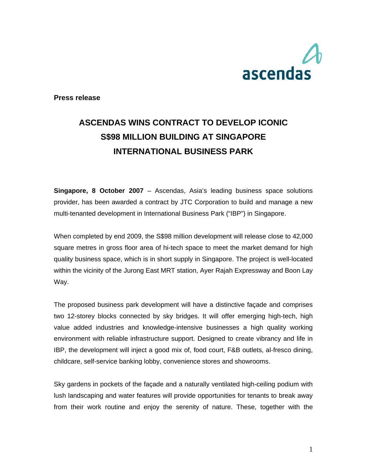

**Press release** 

## **ASCENDAS WINS CONTRACT TO DEVELOP ICONIC S\$98 MILLION BUILDING AT SINGAPORE INTERNATIONAL BUSINESS PARK**

**Singapore, 8 October 2007** – Ascendas, Asia's leading business space solutions provider, has been awarded a contract by JTC Corporation to build and manage a new multi-tenanted development in International Business Park ("IBP") in Singapore.

When completed by end 2009, the S\$98 million development will release close to 42,000 square metres in gross floor area of hi-tech space to meet the market demand for high quality business space, which is in short supply in Singapore. The project is well-located within the vicinity of the Jurong East MRT station, Ayer Rajah Expressway and Boon Lay Way.

The proposed business park development will have a distinctive façade and comprises two 12-storey blocks connected by sky bridges. It will offer emerging high-tech, high value added industries and knowledge-intensive businesses a high quality working environment with reliable infrastructure support. Designed to create vibrancy and life in IBP, the development will inject a good mix of, food court, F&B outlets, al-fresco dining, childcare, self-service banking lobby, convenience stores and showrooms.

Sky gardens in pockets of the façade and a naturally ventilated high-ceiling podium with lush landscaping and water features will provide opportunities for tenants to break away from their work routine and enjoy the serenity of nature. These, together with the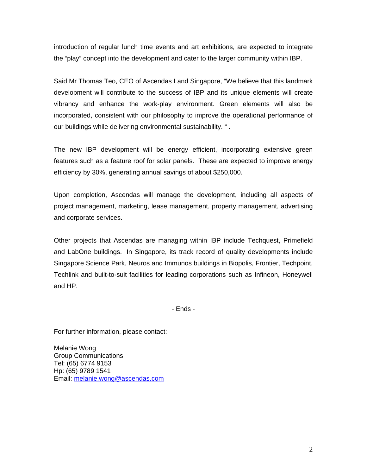introduction of regular lunch time events and art exhibitions, are expected to integrate the "play" concept into the development and cater to the larger community within IBP.

Said Mr Thomas Teo, CEO of Ascendas Land Singapore, "We believe that this landmark development will contribute to the success of IBP and its unique elements will create vibrancy and enhance the work-play environment. Green elements will also be incorporated, consistent with our philosophy to improve the operational performance of our buildings while delivering environmental sustainability. " .

The new IBP development will be energy efficient, incorporating extensive green features such as a feature roof for solar panels. These are expected to improve energy efficiency by 30%, generating annual savings of about \$250,000.

Upon completion, Ascendas will manage the development, including all aspects of project management, marketing, lease management, property management, advertising and corporate services.

Other projects that Ascendas are managing within IBP include Techquest, Primefield and LabOne buildings. In Singapore, its track record of quality developments include Singapore Science Park, Neuros and Immunos buildings in Biopolis, Frontier, Techpoint, Techlink and built-to-suit facilities for leading corporations such as Infineon, Honeywell and HP.

- Ends -

For further information, please contact:

Melanie Wong Group Communications Tel: (65) 6774 9153 Hp: (65) 9789 1541 Email: melanie.wong@ascendas.com